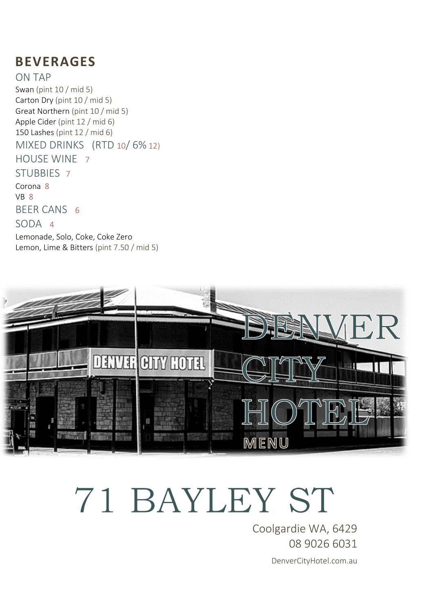#### **BEVERAGES**

ON TAP Swan (pint 10 / mid 5) Carton Dry (pint 10 / mid 5) Great Northern (pint 10 / mid 5) Apple Cider (pint 12 / mid 6) 150 Lashes (pint 12 / mid 6) MIXED DRINKS (RTD 10/ 6% 12) HOUSE WINE 7 STUBBIES 7 Corona 8 VB 8 BEER CANS 6 SODA 4 Lemonade, Solo, Coke, Coke Zero Lemon, Lime & Bitters (pint 7.50 / mid 5)



## 71 BAYLEY ST

Coolgardie WA, 6429 08 9026 6031 DenverCityHotel.com.au